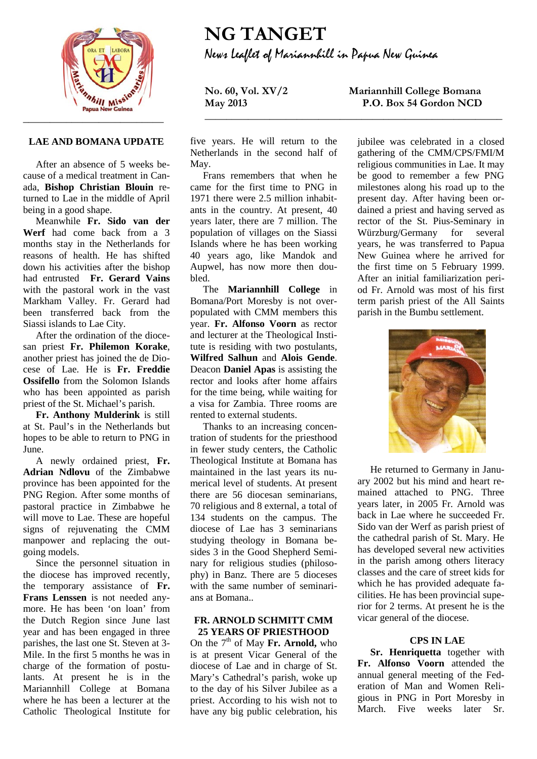

# **LAE AND BOMANA UPDATE**

After an absence of 5 weeks because of a medical treatment in Canada, **Bishop Christian Blouin** returned to Lae in the middle of April being in a good shape.

Meanwhile **Fr. Sido van der Werf** had come back from a 3 months stay in the Netherlands for reasons of health. He has shifted down his activities after the bishop had entrusted **Fr. Gerard Vains**  with the pastoral work in the vast Markham Valley. Fr. Gerard had been transferred back from the Siassi islands to Lae City.

After the ordination of the diocesan priest **Fr. Philemon Korake**, another priest has joined the de Diocese of Lae. He is **Fr. Freddie Ossifello** from the Solomon Islands who has been appointed as parish priest of the St. Michael's parish.

**Fr. Anthony Mulderink** is still at St. Paul's in the Netherlands but hopes to be able to return to PNG in June.

A newly ordained priest, **Fr. Adrian Ndlovu** of the Zimbabwe province has been appointed for the PNG Region. After some months of pastoral practice in Zimbabwe he will move to Lae. These are hopeful signs of rejuvenating the CMM manpower and replacing the outgoing models.

Since the personnel situation in the diocese has improved recently, the temporary assistance of **Fr. Frans Lenssen** is not needed anymore. He has been 'on loan' from the Dutch Region since June last year and has been engaged in three parishes, the last one St. Steven at 3- Mile. In the first 5 months he was in charge of the formation of postulants. At present he is in the Mariannhill College at Bomana where he has been a lecturer at the Catholic Theological Institute for

# **NG TANGET** News Leaflet of Mariannhill in Papua New Guinea

**\_\_\_\_\_\_\_\_\_\_\_\_\_\_\_\_\_\_\_\_\_\_\_\_\_\_\_\_\_\_\_\_\_\_\_\_\_\_\_\_\_\_\_\_\_\_\_\_\_\_\_\_\_\_\_**

five years. He will return to the Netherlands in the second half of May.

Frans remembers that when he came for the first time to PNG in 1971 there were 2.5 million inhabitants in the country. At present, 40 years later, there are 7 million. The population of villages on the Siassi Islands where he has been working 40 years ago, like Mandok and Aupwel, has now more then doubled.

The **Mariannhill College** in Bomana/Port Moresby is not overpopulated with CMM members this year. **Fr. Alfonso Voorn** as rector and lecturer at the Theological Institute is residing with two postulants, **Wilfred Salhun** and **Alois Gende**. Deacon **Daniel Apas** is assisting the rector and looks after home affairs for the time being, while waiting for a visa for Zambia. Three rooms are rented to external students.

Thanks to an increasing concentration of students for the priesthood in fewer study centers, the Catholic Theological Institute at Bomana has maintained in the last years its numerical level of students. At present there are 56 diocesan seminarians, 70 religious and 8 external, a total of 134 students on the campus. The diocese of Lae has 3 seminarians studying theology in Bomana besides 3 in the Good Shepherd Seminary for religious studies (philosophy) in Banz. There are 5 dioceses with the same number of seminarians at Bomana..

### **FR. ARNOLD SCHMITT CMM 25 YEARS OF PRIESTHOOD**

On the 7<sup>th</sup> of May Fr. Arnold, who is at present Vicar General of the diocese of Lae and in charge of St. Mary's Cathedral's parish, woke up to the day of his Silver Jubilee as a priest. According to his wish not to have any big public celebration, his

**No. 60, Vol. XV/2 Mariannhill College Bomana P.O. Box 54 Gordon NCD** 

> jubilee was celebrated in a closed gathering of the CMM/CPS/FMI/M religious communities in Lae. It may be good to remember a few PNG milestones along his road up to the present day. After having been ordained a priest and having served as rector of the St. Pius-Seminary in Würzburg/Germany for several years, he was transferred to Papua New Guinea where he arrived for the first time on 5 February 1999. After an initial familiarization period Fr. Arnold was most of his first term parish priest of the All Saints parish in the Bumbu settlement.



He returned to Germany in January 2002 but his mind and heart remained attached to PNG. Three years later, in 2005 Fr. Arnold was back in Lae where he succeeded Fr. Sido van der Werf as parish priest of the cathedral parish of St. Mary. He has developed several new activities in the parish among others literacy classes and the care of street kids for which he has provided adequate facilities. He has been provincial superior for 2 terms. At present he is the vicar general of the diocese.

# **CPS IN LAE**

**Sr. Henriquetta** together with **Fr. Alfonso Voorn** attended the annual general meeting of the Federation of Man and Women Religious in PNG in Port Moresby in March. Five weeks later Sr.